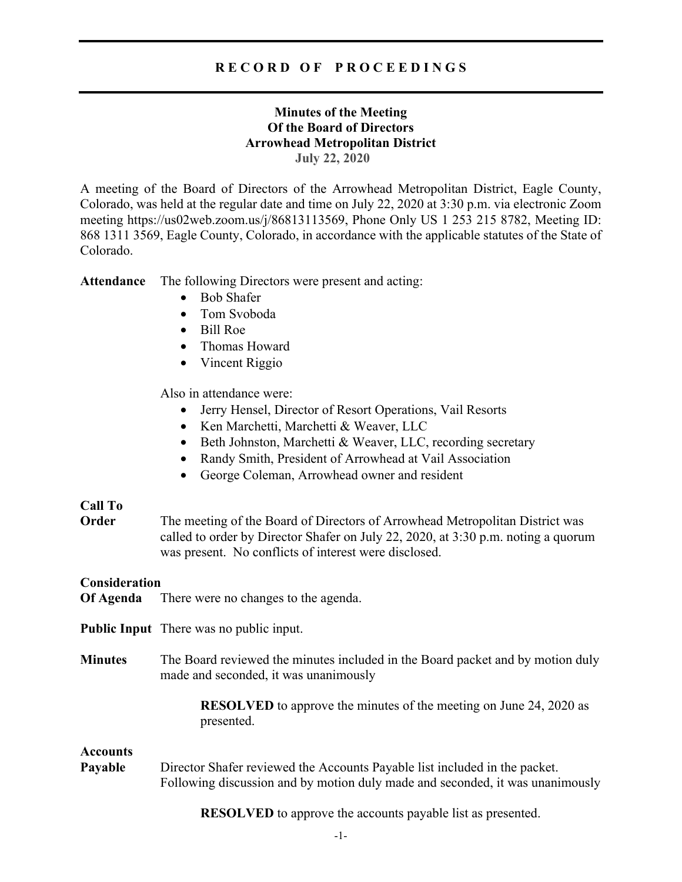# **R E C O R D O F P R O C E E D I N G S**

# **Minutes of the Meeting Of the Board of Directors Arrowhead Metropolitan District July 22, 2020**

A meeting of the Board of Directors of the Arrowhead Metropolitan District, Eagle County, Colorado, was held at the regular date and time on July 22, 2020 at 3:30 p.m. via electronic Zoom meeting https://us02web.zoom.us/j/86813113569, Phone Only US 1 253 215 8782, Meeting ID: 868 1311 3569, Eagle County, Colorado, in accordance with the applicable statutes of the State of Colorado.

**Attendance** The following Directors were present and acting:

- Bob Shafer
- Tom Svoboda
- Bill Roe
- Thomas Howard
- Vincent Riggio

Also in attendance were:

- Jerry Hensel, Director of Resort Operations, Vail Resorts
- Ken Marchetti, Marchetti & Weaver, LLC
- Beth Johnston, Marchetti & Weaver, LLC, recording secretary
- Randy Smith, President of Arrowhead at Vail Association
- George Coleman, Arrowhead owner and resident

## **Call To**

**Order** The meeting of the Board of Directors of Arrowhead Metropolitan District was called to order by Director Shafer on July 22, 2020, at 3:30 p.m. noting a quorum was present. No conflicts of interest were disclosed.

## **Consideration**

- **Of Agenda** There were no changes to the agenda.
- **Public Input** There was no public input.
- **Minutes** The Board reviewed the minutes included in the Board packet and by motion duly made and seconded, it was unanimously

**RESOLVED** to approve the minutes of the meeting on June 24, 2020 as presented.

## **Accounts**

**Payable** Director Shafer reviewed the Accounts Payable list included in the packet. Following discussion and by motion duly made and seconded, it was unanimously

**RESOLVED** to approve the accounts payable list as presented.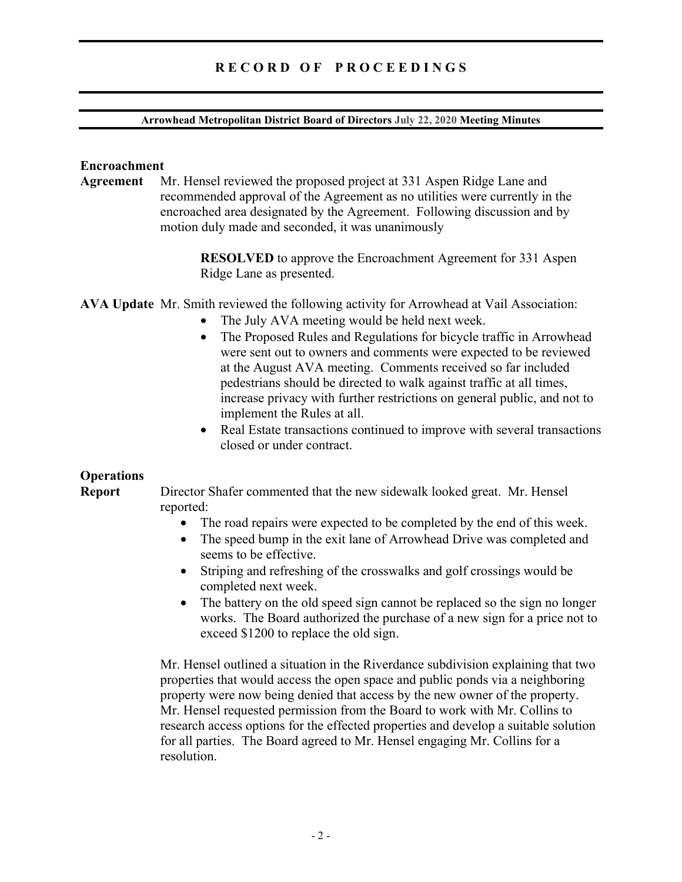# **R E C O R D O F P R O C E E D I N G S**

#### **Arrowhead Metropolitan District Board of Directors July 22, 2020 Meeting Minutes**

## **Encroachment**

**Agreement** Mr. Hensel reviewed the proposed project at 331 Aspen Ridge Lane and recommended approval of the Agreement as no utilities were currently in the encroached area designated by the Agreement. Following discussion and by motion duly made and seconded, it was unanimously

> **RESOLVED** to approve the Encroachment Agreement for 331 Aspen Ridge Lane as presented.

**AVA Update** Mr. Smith reviewed the following activity for Arrowhead at Vail Association:

- The July AVA meeting would be held next week.
- The Proposed Rules and Regulations for bicycle traffic in Arrowhead were sent out to owners and comments were expected to be reviewed at the August AVA meeting. Comments received so far included pedestrians should be directed to walk against traffic at all times, increase privacy with further restrictions on general public, and not to implement the Rules at all.
- Real Estate transactions continued to improve with several transactions closed or under contract.

## **Operations**

**Report** Director Shafer commented that the new sidewalk looked great. Mr. Hensel reported:

- The road repairs were expected to be completed by the end of this week.
- The speed bump in the exit lane of Arrowhead Drive was completed and seems to be effective.
- Striping and refreshing of the crosswalks and golf crossings would be completed next week.
- The battery on the old speed sign cannot be replaced so the sign no longer works. The Board authorized the purchase of a new sign for a price not to exceed \$1200 to replace the old sign.

Mr. Hensel outlined a situation in the Riverdance subdivision explaining that two properties that would access the open space and public ponds via a neighboring property were now being denied that access by the new owner of the property. Mr. Hensel requested permission from the Board to work with Mr. Collins to research access options for the effected properties and develop a suitable solution for all parties. The Board agreed to Mr. Hensel engaging Mr. Collins for a resolution.